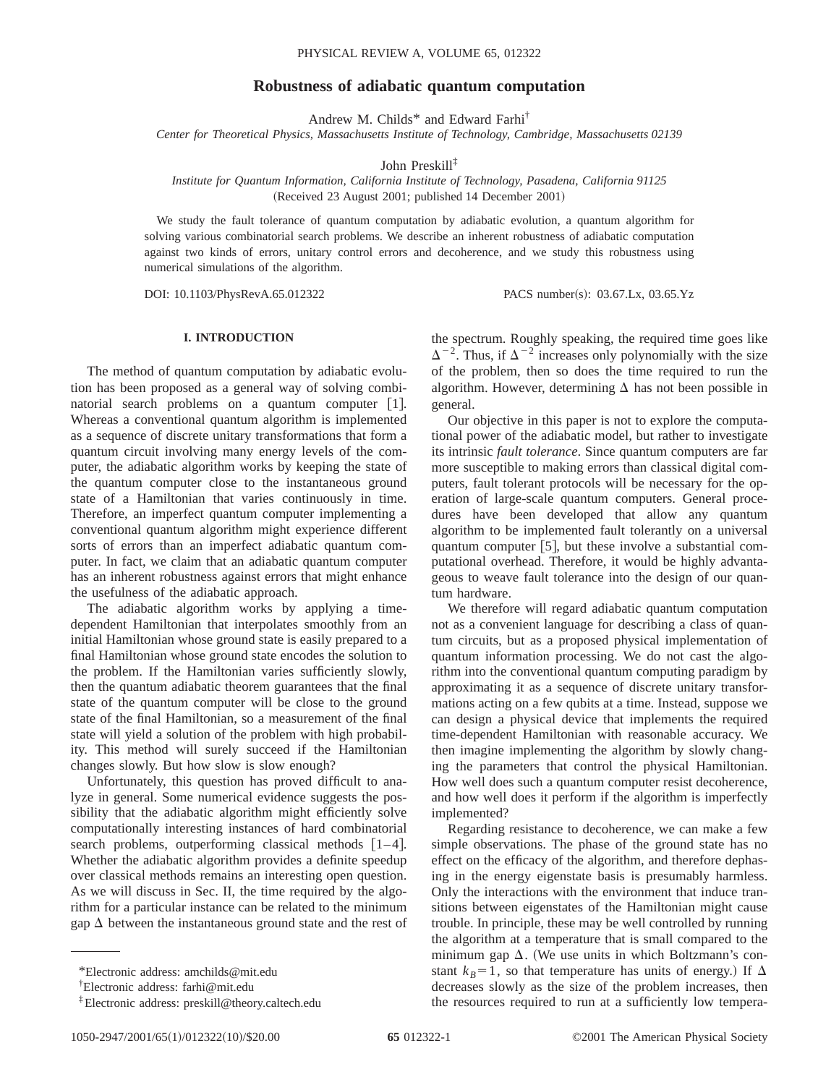# **Robustness of adiabatic quantum computation**

Andrew M. Childs\* and Edward Farhi†

*Center for Theoretical Physics, Massachusetts Institute of Technology, Cambridge, Massachusetts 02139*

John Preskill‡

# *Institute for Quantum Information, California Institute of Technology, Pasadena, California 91125* (Received 23 August 2001; published 14 December 2001)

We study the fault tolerance of quantum computation by adiabatic evolution, a quantum algorithm for solving various combinatorial search problems. We describe an inherent robustness of adiabatic computation against two kinds of errors, unitary control errors and decoherence, and we study this robustness using numerical simulations of the algorithm.

DOI: 10.1103/PhysRevA.65.012322 PACS number(s): 03.67.Lx, 03.65.Yz

# **I. INTRODUCTION**

The method of quantum computation by adiabatic evolution has been proposed as a general way of solving combinatorial search problems on a quantum computer  $[1]$ . Whereas a conventional quantum algorithm is implemented as a sequence of discrete unitary transformations that form a quantum circuit involving many energy levels of the computer, the adiabatic algorithm works by keeping the state of the quantum computer close to the instantaneous ground state of a Hamiltonian that varies continuously in time. Therefore, an imperfect quantum computer implementing a conventional quantum algorithm might experience different sorts of errors than an imperfect adiabatic quantum computer. In fact, we claim that an adiabatic quantum computer has an inherent robustness against errors that might enhance the usefulness of the adiabatic approach.

The adiabatic algorithm works by applying a timedependent Hamiltonian that interpolates smoothly from an initial Hamiltonian whose ground state is easily prepared to a final Hamiltonian whose ground state encodes the solution to the problem. If the Hamiltonian varies sufficiently slowly, then the quantum adiabatic theorem guarantees that the final state of the quantum computer will be close to the ground state of the final Hamiltonian, so a measurement of the final state will yield a solution of the problem with high probability. This method will surely succeed if the Hamiltonian changes slowly. But how slow is slow enough?

Unfortunately, this question has proved difficult to analyze in general. Some numerical evidence suggests the possibility that the adiabatic algorithm might efficiently solve computationally interesting instances of hard combinatorial search problems, outperforming classical methods  $[1-4]$ . Whether the adiabatic algorithm provides a definite speedup over classical methods remains an interesting open question. As we will discuss in Sec. II, the time required by the algorithm for a particular instance can be related to the minimum gap  $\Delta$  between the instantaneous ground state and the rest of

the spectrum. Roughly speaking, the required time goes like  $\Delta^{-2}$ . Thus, if  $\Delta^{-2}$  increases only polynomially with the size of the problem, then so does the time required to run the algorithm. However, determining  $\Delta$  has not been possible in general.

Our objective in this paper is not to explore the computational power of the adiabatic model, but rather to investigate its intrinsic *fault tolerance*. Since quantum computers are far more susceptible to making errors than classical digital computers, fault tolerant protocols will be necessary for the operation of large-scale quantum computers. General procedures have been developed that allow any quantum algorithm to be implemented fault tolerantly on a universal quantum computer  $[5]$ , but these involve a substantial computational overhead. Therefore, it would be highly advantageous to weave fault tolerance into the design of our quantum hardware.

We therefore will regard adiabatic quantum computation not as a convenient language for describing a class of quantum circuits, but as a proposed physical implementation of quantum information processing. We do not cast the algorithm into the conventional quantum computing paradigm by approximating it as a sequence of discrete unitary transformations acting on a few qubits at a time. Instead, suppose we can design a physical device that implements the required time-dependent Hamiltonian with reasonable accuracy. We then imagine implementing the algorithm by slowly changing the parameters that control the physical Hamiltonian. How well does such a quantum computer resist decoherence, and how well does it perform if the algorithm is imperfectly implemented?

Regarding resistance to decoherence, we can make a few simple observations. The phase of the ground state has no effect on the efficacy of the algorithm, and therefore dephasing in the energy eigenstate basis is presumably harmless. Only the interactions with the environment that induce transitions between eigenstates of the Hamiltonian might cause trouble. In principle, these may be well controlled by running the algorithm at a temperature that is small compared to the minimum gap  $\Delta$ . (We use units in which Boltzmann's constant  $k_B=1$ , so that temperature has units of energy.) If  $\Delta$ decreases slowly as the size of the problem increases, then the resources required to run at a sufficiently low tempera-

<sup>\*</sup>Electronic address: amchilds@mit.edu

<sup>†</sup> Electronic address: farhi@mit.edu

<sup>‡</sup>Electronic address: preskill@theory.caltech.edu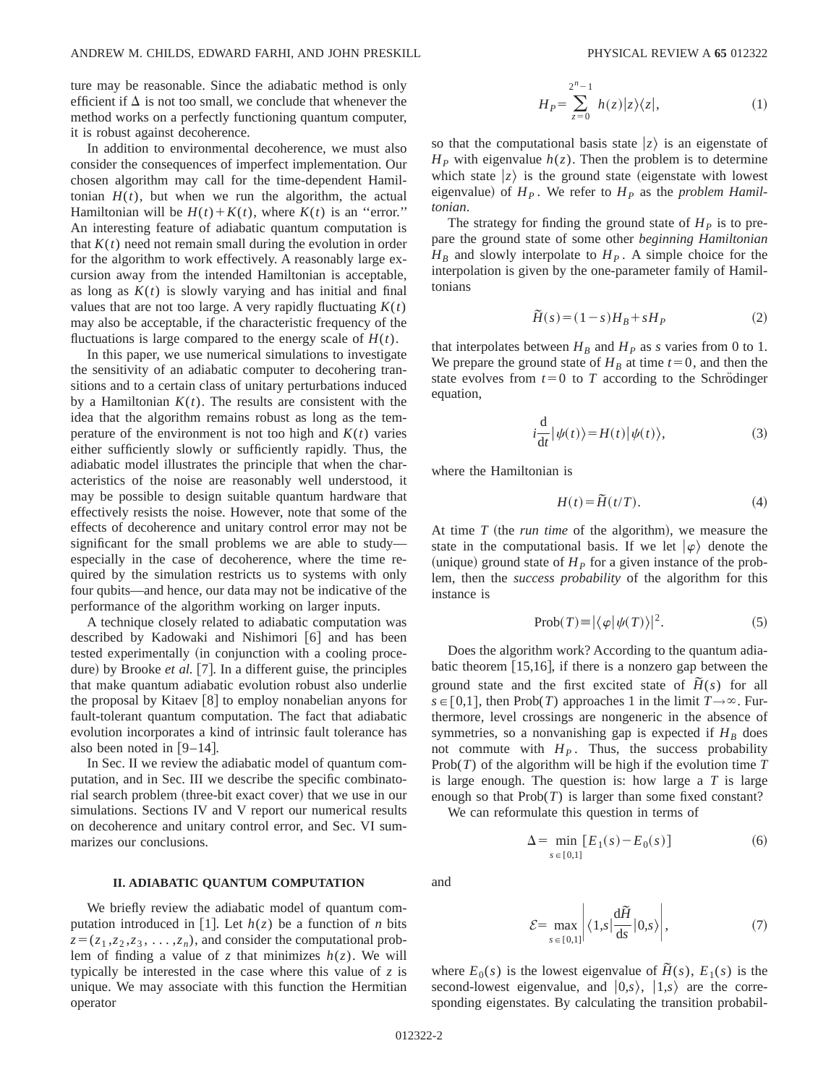ture may be reasonable. Since the adiabatic method is only efficient if  $\Delta$  is not too small, we conclude that whenever the method works on a perfectly functioning quantum computer, it is robust against decoherence.

In addition to environmental decoherence, we must also consider the consequences of imperfect implementation. Our chosen algorithm may call for the time-dependent Hamiltonian  $H(t)$ , but when we run the algorithm, the actual Hamiltonian will be  $H(t) + K(t)$ , where  $K(t)$  is an "error." An interesting feature of adiabatic quantum computation is that  $K(t)$  need not remain small during the evolution in order for the algorithm to work effectively. A reasonably large excursion away from the intended Hamiltonian is acceptable, as long as  $K(t)$  is slowly varying and has initial and final values that are not too large. A very rapidly fluctuating  $K(t)$ may also be acceptable, if the characteristic frequency of the fluctuations is large compared to the energy scale of  $H(t)$ .

In this paper, we use numerical simulations to investigate the sensitivity of an adiabatic computer to decohering transitions and to a certain class of unitary perturbations induced by a Hamiltonian  $K(t)$ . The results are consistent with the idea that the algorithm remains robust as long as the temperature of the environment is not too high and  $K(t)$  varies either sufficiently slowly or sufficiently rapidly. Thus, the adiabatic model illustrates the principle that when the characteristics of the noise are reasonably well understood, it may be possible to design suitable quantum hardware that effectively resists the noise. However, note that some of the effects of decoherence and unitary control error may not be significant for the small problems we are able to study especially in the case of decoherence, where the time required by the simulation restricts us to systems with only four qubits—and hence, our data may not be indicative of the performance of the algorithm working on larger inputs.

A technique closely related to adiabatic computation was described by Kadowaki and Nishimori [6] and has been tested experimentally (in conjunction with a cooling procedure) by Brooke *et al.* [7]. In a different guise, the principles that make quantum adiabatic evolution robust also underlie the proposal by Kitaev  $[8]$  to employ nonabelian anyons for fault-tolerant quantum computation. The fact that adiabatic evolution incorporates a kind of intrinsic fault tolerance has also been noted in  $[9-14]$ .

In Sec. II we review the adiabatic model of quantum computation, and in Sec. III we describe the specific combinatorial search problem (three-bit exact cover) that we use in our simulations. Sections IV and V report our numerical results on decoherence and unitary control error, and Sec. VI summarizes our conclusions.

### **II. ADIABATIC QUANTUM COMPUTATION**

We briefly review the adiabatic model of quantum computation introduced in [1]. Let  $h(z)$  be a function of *n* bits  $z = (z_1, z_2, z_3, \ldots, z_n)$ , and consider the computational problem of finding a value of *z* that minimizes  $h(z)$ . We will typically be interested in the case where this value of *z* is unique. We may associate with this function the Hermitian operator

$$
H_P = \sum_{z=0}^{2^n - 1} h(z) |z\rangle\langle z|, \tag{1}
$$

so that the computational basis state  $|z\rangle$  is an eigenstate of  $H<sub>P</sub>$  with eigenvalue  $h(z)$ . Then the problem is to determine which state  $|z\rangle$  is the ground state (eigenstate with lowest eigenvalue) of  $H<sub>P</sub>$ . We refer to  $H<sub>P</sub>$  as the *problem Hamiltonian*.

The strategy for finding the ground state of  $H<sub>p</sub>$  is to prepare the ground state of some other *beginning Hamiltonian*  $H_B$  and slowly interpolate to  $H_P$ . A simple choice for the interpolation is given by the one-parameter family of Hamiltonians

$$
\widetilde{H}(s) = (1 - s)H_B + sH_P \tag{2}
$$

that interpolates between  $H_B$  and  $H_P$  as *s* varies from 0 to 1. We prepare the ground state of  $H_B$  at time  $t=0$ , and then the state evolves from  $t=0$  to *T* according to the Schrödinger equation,

$$
i\frac{\mathrm{d}}{\mathrm{d}t}|\psi(t)\rangle = H(t)|\psi(t)\rangle,\tag{3}
$$

where the Hamiltonian is

$$
H(t) = \widetilde{H}(t/T). \tag{4}
$$

At time *T* (the *run time* of the algorithm), we measure the state in the computational basis. If we let  $|\varphi\rangle$  denote the (unique) ground state of  $H<sub>P</sub>$  for a given instance of the problem, then the *success probability* of the algorithm for this instance is

$$
Prob(T) = |\langle \varphi | \psi(T) \rangle|^2.
$$
 (5)

Does the algorithm work? According to the quantum adiabatic theorem  $[15,16]$ , if there is a nonzero gap between the ground state and the first excited state of  $\tilde{H}(s)$  for all  $s \in [0,1]$ , then Prob(*T*) approaches 1 in the limit *T*→∞. Furthermore, level crossings are nongeneric in the absence of symmetries, so a nonvanishing gap is expected if  $H_B$  does not commute with  $H<sub>P</sub>$ . Thus, the success probability Prob(*T*) of the algorithm will be high if the evolution time *T* is large enough. The question is: how large a *T* is large enough so that  $Prob(T)$  is larger than some fixed constant?

We can reformulate this question in terms of

$$
\Delta = \min_{s \in [0,1]} [E_1(s) - E_0(s)] \tag{6}
$$

$$
\mathcal{E} = \max_{s \in [0,1]} \left| \langle 1, s | \frac{\mathrm{d}\tilde{H}}{\mathrm{d}s} | 0, s \rangle \right|, \tag{7}
$$

where  $E_0(s)$  is the lowest eigenvalue of  $\tilde{H}(s)$ ,  $E_1(s)$  is the second-lowest eigenvalue, and  $|0,s\rangle$ ,  $|1,s\rangle$  are the corresponding eigenstates. By calculating the transition probabil-

and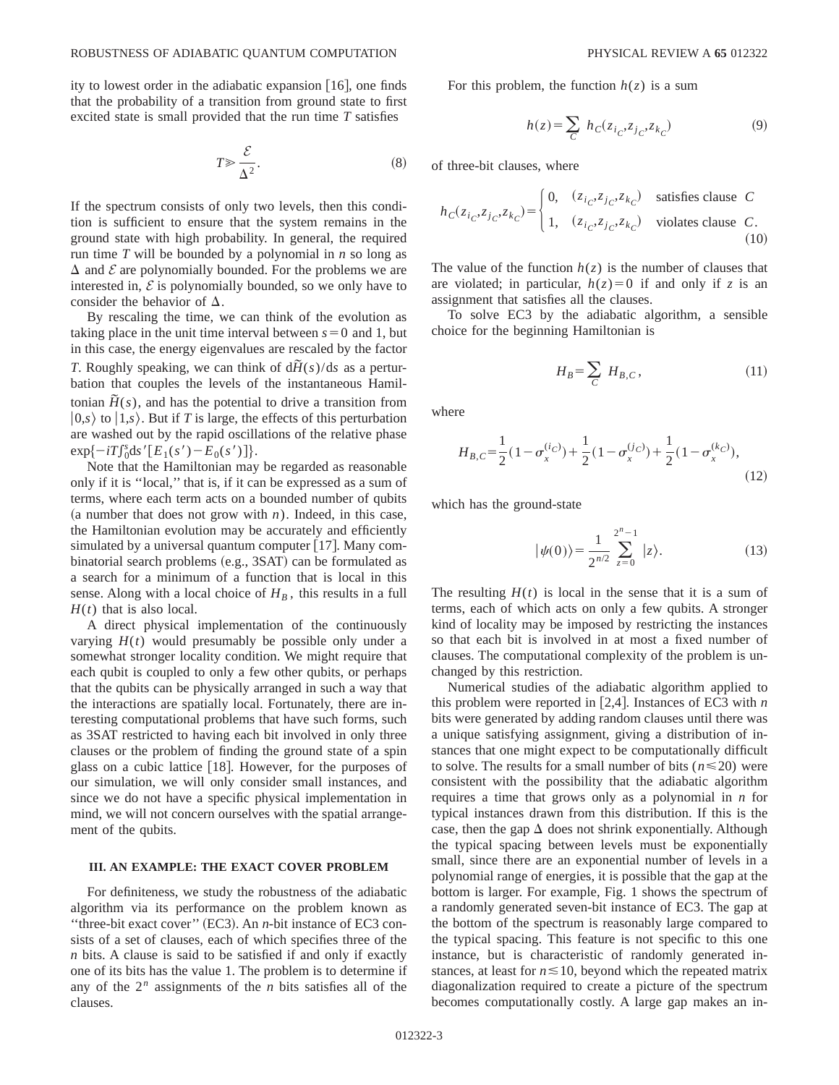ity to lowest order in the adiabatic expansion  $|16|$ , one finds that the probability of a transition from ground state to first excited state is small provided that the run time *T* satisfies

$$
T \gg \frac{\mathcal{E}}{\Delta^2}.\tag{8}
$$

If the spectrum consists of only two levels, then this condition is sufficient to ensure that the system remains in the ground state with high probability. In general, the required run time *T* will be bounded by a polynomial in *n* so long as  $\Delta$  and  $\mathcal E$  are polynomially bounded. For the problems we are interested in,  $\mathcal E$  is polynomially bounded, so we only have to consider the behavior of  $\Delta$ .

By rescaling the time, we can think of the evolution as taking place in the unit time interval between  $s=0$  and 1, but in this case, the energy eigenvalues are rescaled by the factor *T*. Roughly speaking, we can think of  $d\tilde{H}(s)/ds$  as a perturbation that couples the levels of the instantaneous Hamiltonian  $\tilde{H}(s)$ , and has the potential to drive a transition from  $|0,s\rangle$  to  $|1,s\rangle$ . But if *T* is large, the effects of this perturbation are washed out by the rapid oscillations of the relative phase  $\exp\{-i\int_0^s ds'[E_1(s') - E_0(s')] \}.$ 

Note that the Hamiltonian may be regarded as reasonable only if it is ''local,'' that is, if it can be expressed as a sum of terms, where each term acts on a bounded number of qubits (a number that does not grow with  $n$ ). Indeed, in this case, the Hamiltonian evolution may be accurately and efficiently simulated by a universal quantum computer  $[17]$ . Many combinatorial search problems  $(e.g., 3SAT)$  can be formulated as a search for a minimum of a function that is local in this sense. Along with a local choice of  $H_B$ , this results in a full  $H(t)$  that is also local.

A direct physical implementation of the continuously varying  $H(t)$  would presumably be possible only under a somewhat stronger locality condition. We might require that each qubit is coupled to only a few other qubits, or perhaps that the qubits can be physically arranged in such a way that the interactions are spatially local. Fortunately, there are interesting computational problems that have such forms, such as 3SAT restricted to having each bit involved in only three clauses or the problem of finding the ground state of a spin glass on a cubic lattice  $[18]$ . However, for the purposes of our simulation, we will only consider small instances, and since we do not have a specific physical implementation in mind, we will not concern ourselves with the spatial arrangement of the qubits.

### **III. AN EXAMPLE: THE EXACT COVER PROBLEM**

For definiteness, we study the robustness of the adiabatic algorithm via its performance on the problem known as "three-bit exact cover"  $(EC3)$ . An *n*-bit instance of EC3 consists of a set of clauses, each of which specifies three of the *n* bits. A clause is said to be satisfied if and only if exactly one of its bits has the value 1. The problem is to determine if any of the  $2^n$  assignments of the *n* bits satisfies all of the clauses.

For this problem, the function  $h(z)$  is a sum

$$
h(z) = \sum_{C} h_C(z_{i_C}, z_{j_C}, z_{k_C})
$$
\n(9)

of three-bit clauses, where

$$
h_C(z_{i_C}, z_{j_C}, z_{k_C}) = \begin{cases} 0, & (z_{i_C}, z_{j_C}, z_{k_C}) \quad \text{satisfies clause} \quad C \\ 1, & (z_{i_C}, z_{j_C}, z_{k_C}) \quad \text{violates clause} \quad C. \end{cases} \tag{10}
$$

The value of the function  $h(z)$  is the number of clauses that are violated; in particular,  $h(z)=0$  if and only if *z* is an assignment that satisfies all the clauses.

To solve EC3 by the adiabatic algorithm, a sensible choice for the beginning Hamiltonian is

$$
H_B = \sum_C H_{B,C},\tag{11}
$$

where

$$
H_{B,C} = \frac{1}{2}(1 - \sigma_x^{(i_C)}) + \frac{1}{2}(1 - \sigma_x^{(j_C)}) + \frac{1}{2}(1 - \sigma_x^{(k_C)}),
$$
\n(12)

which has the ground-state

$$
|\psi(0)\rangle = \frac{1}{2^{n/2}} \sum_{z=0}^{2^n - 1} |z\rangle.
$$
 (13)

The resulting  $H(t)$  is local in the sense that it is a sum of terms, each of which acts on only a few qubits. A stronger kind of locality may be imposed by restricting the instances so that each bit is involved in at most a fixed number of clauses. The computational complexity of the problem is unchanged by this restriction.

Numerical studies of the adiabatic algorithm applied to this problem were reported in  $[2,4]$ . Instances of EC3 with *n* bits were generated by adding random clauses until there was a unique satisfying assignment, giving a distribution of instances that one might expect to be computationally difficult to solve. The results for a small number of bits ( $n \le 20$ ) were consistent with the possibility that the adiabatic algorithm requires a time that grows only as a polynomial in *n* for typical instances drawn from this distribution. If this is the case, then the gap  $\Delta$  does not shrink exponentially. Although the typical spacing between levels must be exponentially small, since there are an exponential number of levels in a polynomial range of energies, it is possible that the gap at the bottom is larger. For example, Fig. 1 shows the spectrum of a randomly generated seven-bit instance of EC3. The gap at the bottom of the spectrum is reasonably large compared to the typical spacing. This feature is not specific to this one instance, but is characteristic of randomly generated instances, at least for  $n \le 10$ , beyond which the repeated matrix diagonalization required to create a picture of the spectrum becomes computationally costly. A large gap makes an in-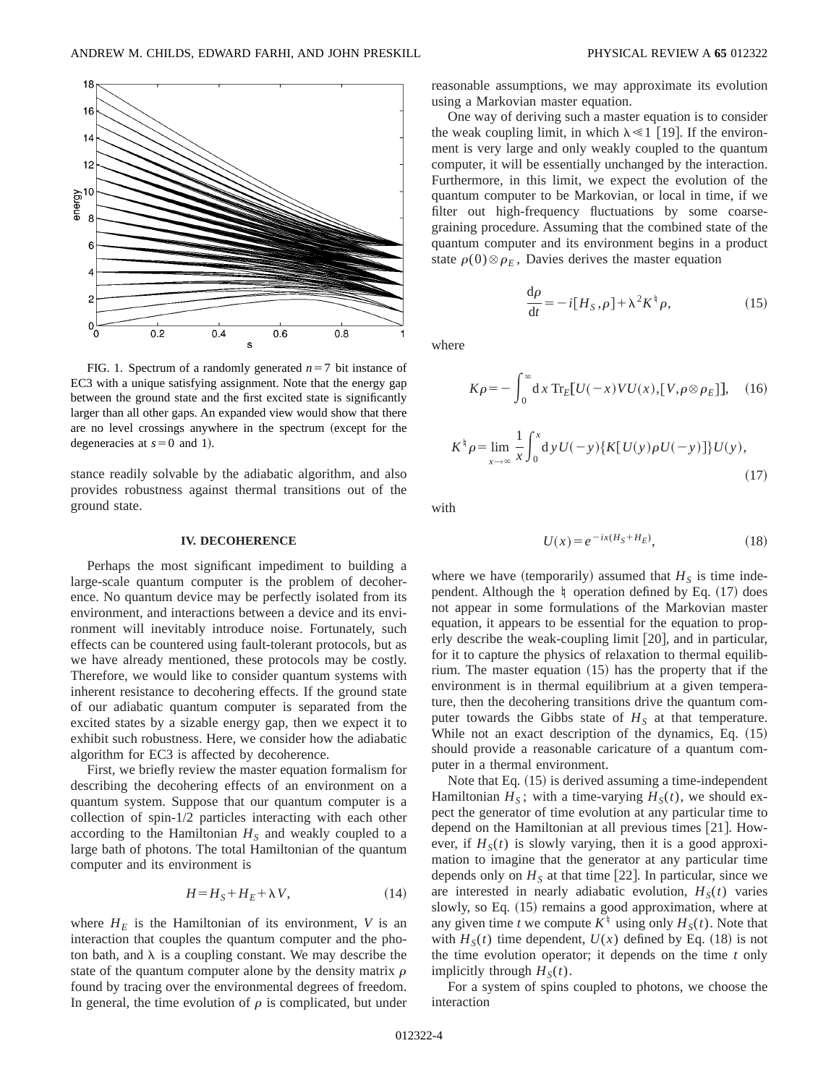

FIG. 1. Spectrum of a randomly generated  $n=7$  bit instance of EC3 with a unique satisfying assignment. Note that the energy gap between the ground state and the first excited state is significantly larger than all other gaps. An expanded view would show that there are no level crossings anywhere in the spectrum (except for the degeneracies at  $s=0$  and 1).

stance readily solvable by the adiabatic algorithm, and also provides robustness against thermal transitions out of the ground state.

#### **IV. DECOHERENCE**

Perhaps the most significant impediment to building a large-scale quantum computer is the problem of decoherence. No quantum device may be perfectly isolated from its environment, and interactions between a device and its environment will inevitably introduce noise. Fortunately, such effects can be countered using fault-tolerant protocols, but as we have already mentioned, these protocols may be costly. Therefore, we would like to consider quantum systems with inherent resistance to decohering effects. If the ground state of our adiabatic quantum computer is separated from the excited states by a sizable energy gap, then we expect it to exhibit such robustness. Here, we consider how the adiabatic algorithm for EC3 is affected by decoherence.

First, we briefly review the master equation formalism for describing the decohering effects of an environment on a quantum system. Suppose that our quantum computer is a collection of spin-1/2 particles interacting with each other according to the Hamiltonian  $H<sub>S</sub>$  and weakly coupled to a large bath of photons. The total Hamiltonian of the quantum computer and its environment is

$$
H = H_S + H_E + \lambda V, \tag{14}
$$

where  $H_E$  is the Hamiltonian of its environment, *V* is an interaction that couples the quantum computer and the photon bath, and  $\lambda$  is a coupling constant. We may describe the state of the quantum computer alone by the density matrix  $\rho$ found by tracing over the environmental degrees of freedom. In general, the time evolution of  $\rho$  is complicated, but under reasonable assumptions, we may approximate its evolution using a Markovian master equation.

One way of deriving such a master equation is to consider the weak coupling limit, in which  $\lambda \ll 1$  [19]. If the environment is very large and only weakly coupled to the quantum computer, it will be essentially unchanged by the interaction. Furthermore, in this limit, we expect the evolution of the quantum computer to be Markovian, or local in time, if we filter out high-frequency fluctuations by some coarsegraining procedure. Assuming that the combined state of the quantum computer and its environment begins in a product state  $\rho(0) \otimes \rho_F$ , Davies derives the master equation

$$
\frac{\mathrm{d}\rho}{\mathrm{d}t} = -i[H_S,\rho] + \lambda^2 K^{\dagger} \rho,\tag{15}
$$

where

$$
K\rho = -\int_0^\infty dx \operatorname{Tr}_E[U(-x)VU(x), [V, \rho \otimes \rho_E]], \quad (16)
$$

$$
K^{\dagger} \rho = \lim_{x \to \infty} \frac{1}{x} \int_0^x dy U(-y) \{ K[U(y) \rho U(-y)] \} U(y), \tag{17}
$$

with

$$
U(x) = e^{-ix(HS + HE)},
$$
\n(18)

where we have (temporarily) assumed that  $H<sub>S</sub>$  is time independent. Although the  $\sharp$  operation defined by Eq. (17) does not appear in some formulations of the Markovian master equation, it appears to be essential for the equation to properly describe the weak-coupling limit  $[20]$ , and in particular, for it to capture the physics of relaxation to thermal equilibrium. The master equation  $(15)$  has the property that if the environment is in thermal equilibrium at a given temperature, then the decohering transitions drive the quantum computer towards the Gibbs state of  $H<sub>S</sub>$  at that temperature. While not an exact description of the dynamics, Eq.  $(15)$ should provide a reasonable caricature of a quantum computer in a thermal environment.

Note that Eq.  $(15)$  is derived assuming a time-independent Hamiltonian  $H<sub>S</sub>$ ; with a time-varying  $H<sub>S</sub>(t)$ , we should expect the generator of time evolution at any particular time to depend on the Hamiltonian at all previous times  $[21]$ . However, if  $H<sub>S</sub>(t)$  is slowly varying, then it is a good approximation to imagine that the generator at any particular time depends only on  $H<sub>S</sub>$  at that time [22]. In particular, since we are interested in nearly adiabatic evolution,  $H<sub>S</sub>(t)$  varies slowly, so Eq.  $(15)$  remains a good approximation, where at any given time *t* we compute  $K^{\dagger}$  using only  $H_S(t)$ . Note that with  $H<sub>S</sub>(t)$  time dependent,  $U(x)$  defined by Eq. (18) is not the time evolution operator; it depends on the time *t* only implicitly through  $H<sub>S</sub>(t)$ .

For a system of spins coupled to photons, we choose the interaction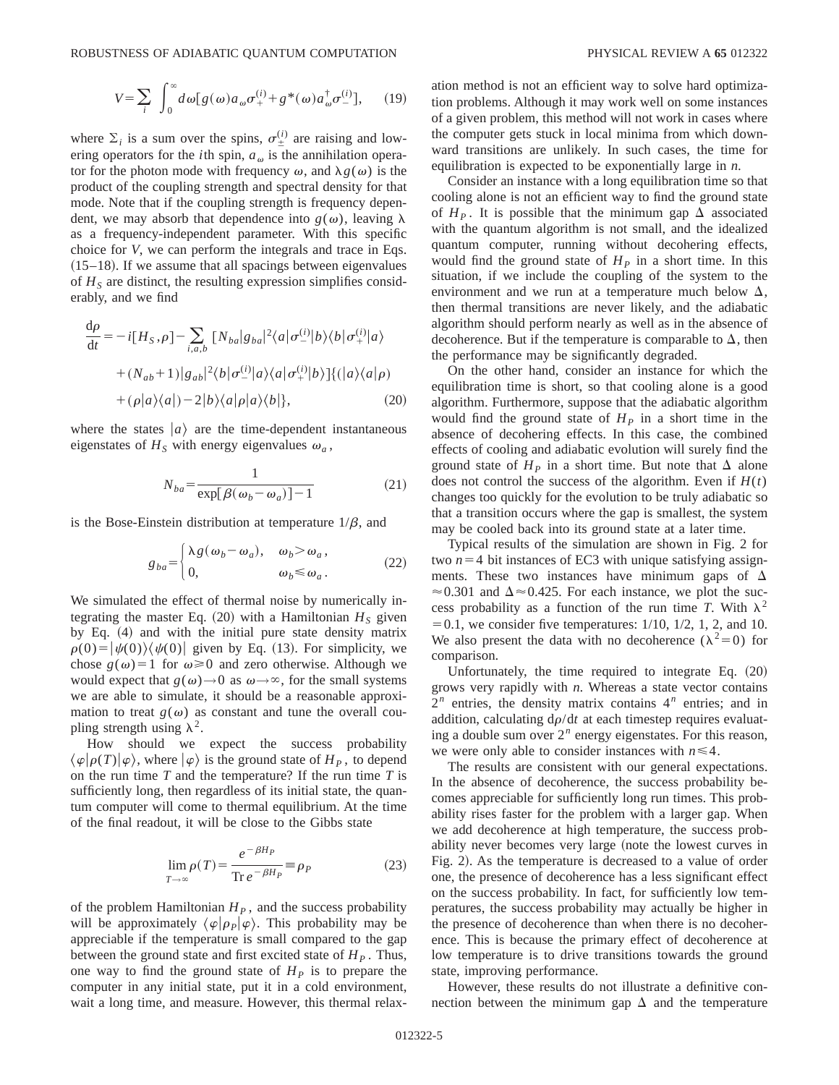where  $\Sigma_i$  is a sum over the spins,  $\sigma_{\pm}^{(i)}$  are raising and lowering operators for the *i*th spin,  $a_{\omega}$  is the annihilation operator for the photon mode with frequency  $\omega$ , and  $\lambda g(\omega)$  is the product of the coupling strength and spectral density for that mode. Note that if the coupling strength is frequency dependent, we may absorb that dependence into  $g(\omega)$ , leaving  $\lambda$ as a frequency-independent parameter. With this specific choice for *V*, we can perform the integrals and trace in Eqs.  $(15–18)$ . If we assume that all spacings between eigenvalues of  $H<sub>S</sub>$  are distinct, the resulting expression simplifies considerably, and we find

$$
\frac{d\rho}{dt} = -i[H_S, \rho] - \sum_{i, a, b} \left[ N_{ba} |g_{ba}|^2 \langle a | \sigma_-^{(i)} | b \rangle \langle b | \sigma_+^{(i)} | a \rangle \right. \n+ (N_{ab} + 1) |g_{ab}|^2 \langle b | \sigma_-^{(i)} | a \rangle \langle a | \sigma_+^{(i)} | b \rangle \right] \langle |a \rangle \langle a | \rho) \n+ (\rho |a \rangle \langle a|) - 2 |b \rangle \langle a| \rho |a \rangle \langle b| \},
$$
\n(20)

where the states  $|a\rangle$  are the time-dependent instantaneous eigenstates of  $H<sub>S</sub>$  with energy eigenvalues  $\omega<sub>a</sub>$ ,

$$
N_{ba} = \frac{1}{\exp[\beta(\omega_b - \omega_a)] - 1} \tag{21}
$$

is the Bose-Einstein distribution at temperature  $1/\beta$ , and

$$
g_{ba} = \begin{cases} \lambda g(\omega_b - \omega_a), & \omega_b > \omega_a, \\ 0, & \omega_b \le \omega_a. \end{cases}
$$
 (22)

We simulated the effect of thermal noise by numerically integrating the master Eq.  $(20)$  with a Hamiltonian  $H<sub>S</sub>$  given by Eq.  $(4)$  and with the initial pure state density matrix  $\rho(0) = |\psi(0)\rangle\langle\psi(0)|$  given by Eq. (13). For simplicity, we chose  $g(\omega)=1$  for  $\omega\geq0$  and zero otherwise. Although we would expect that  $g(\omega) \rightarrow 0$  as  $\omega \rightarrow \infty$ , for the small systems we are able to simulate, it should be a reasonable approximation to treat  $g(\omega)$  as constant and tune the overall coupling strength using  $\lambda^2$ .

How should we expect the success probability  $\langle \varphi | \rho(T) | \varphi \rangle$ , where  $| \varphi \rangle$  is the ground state of  $H_P$ , to depend on the run time *T* and the temperature? If the run time *T* is sufficiently long, then regardless of its initial state, the quantum computer will come to thermal equilibrium. At the time of the final readout, it will be close to the Gibbs state

$$
\lim_{T \to \infty} \rho(T) = \frac{e^{-\beta H_P}}{\text{Tr } e^{-\beta H_P}} \equiv \rho_P \tag{23}
$$

of the problem Hamiltonian  $H<sub>p</sub>$ , and the success probability will be approximately  $\langle \varphi | \rho_P | \varphi \rangle$ . This probability may be appreciable if the temperature is small compared to the gap between the ground state and first excited state of  $H<sub>p</sub>$ . Thus, one way to find the ground state of  $H<sub>p</sub>$  is to prepare the computer in any initial state, put it in a cold environment, wait a long time, and measure. However, this thermal relaxation method is not an efficient way to solve hard optimization problems. Although it may work well on some instances of a given problem, this method will not work in cases where the computer gets stuck in local minima from which downward transitions are unlikely. In such cases, the time for equilibration is expected to be exponentially large in *n*.

Consider an instance with a long equilibration time so that cooling alone is not an efficient way to find the ground state of  $H<sub>p</sub>$ . It is possible that the minimum gap  $\Delta$  associated with the quantum algorithm is not small, and the idealized quantum computer, running without decohering effects, would find the ground state of  $H<sub>P</sub>$  in a short time. In this situation, if we include the coupling of the system to the environment and we run at a temperature much below  $\Delta$ , then thermal transitions are never likely, and the adiabatic algorithm should perform nearly as well as in the absence of decoherence. But if the temperature is comparable to  $\Delta$ , then the performance may be significantly degraded.

On the other hand, consider an instance for which the equilibration time is short, so that cooling alone is a good algorithm. Furthermore, suppose that the adiabatic algorithm would find the ground state of  $H<sub>P</sub>$  in a short time in the absence of decohering effects. In this case, the combined effects of cooling and adiabatic evolution will surely find the ground state of  $H<sub>p</sub>$  in a short time. But note that  $\Delta$  alone does not control the success of the algorithm. Even if  $H(t)$ changes too quickly for the evolution to be truly adiabatic so that a transition occurs where the gap is smallest, the system may be cooled back into its ground state at a later time.

Typical results of the simulation are shown in Fig. 2 for two  $n=4$  bit instances of EC3 with unique satisfying assignments. These two instances have minimum gaps of  $\Delta$  $\approx 0.301$  and  $\Delta \approx 0.425$ . For each instance, we plot the success probability as a function of the run time *T*. With  $\lambda^2$  $=0.1$ , we consider five temperatures:  $1/10$ ,  $1/2$ , 1, 2, and 10. We also present the data with no decoherence ( $\lambda^2=0$ ) for comparison.

Unfortunately, the time required to integrate Eq.  $(20)$ grows very rapidly with *n*. Whereas a state vector contains  $2^n$  entries, the density matrix contains  $4^n$  entries; and in addition, calculating  $d\rho/dt$  at each timestep requires evaluating a double sum over  $2^n$  energy eigenstates. For this reason, we were only able to consider instances with  $n \leq 4$ .

The results are consistent with our general expectations. In the absence of decoherence, the success probability becomes appreciable for sufficiently long run times. This probability rises faster for the problem with a larger gap. When we add decoherence at high temperature, the success probability never becomes very large (note the lowest curves in Fig. 2). As the temperature is decreased to a value of order one, the presence of decoherence has a less significant effect on the success probability. In fact, for sufficiently low temperatures, the success probability may actually be higher in the presence of decoherence than when there is no decoherence. This is because the primary effect of decoherence at low temperature is to drive transitions towards the ground state, improving performance.

However, these results do not illustrate a definitive connection between the minimum gap  $\Delta$  and the temperature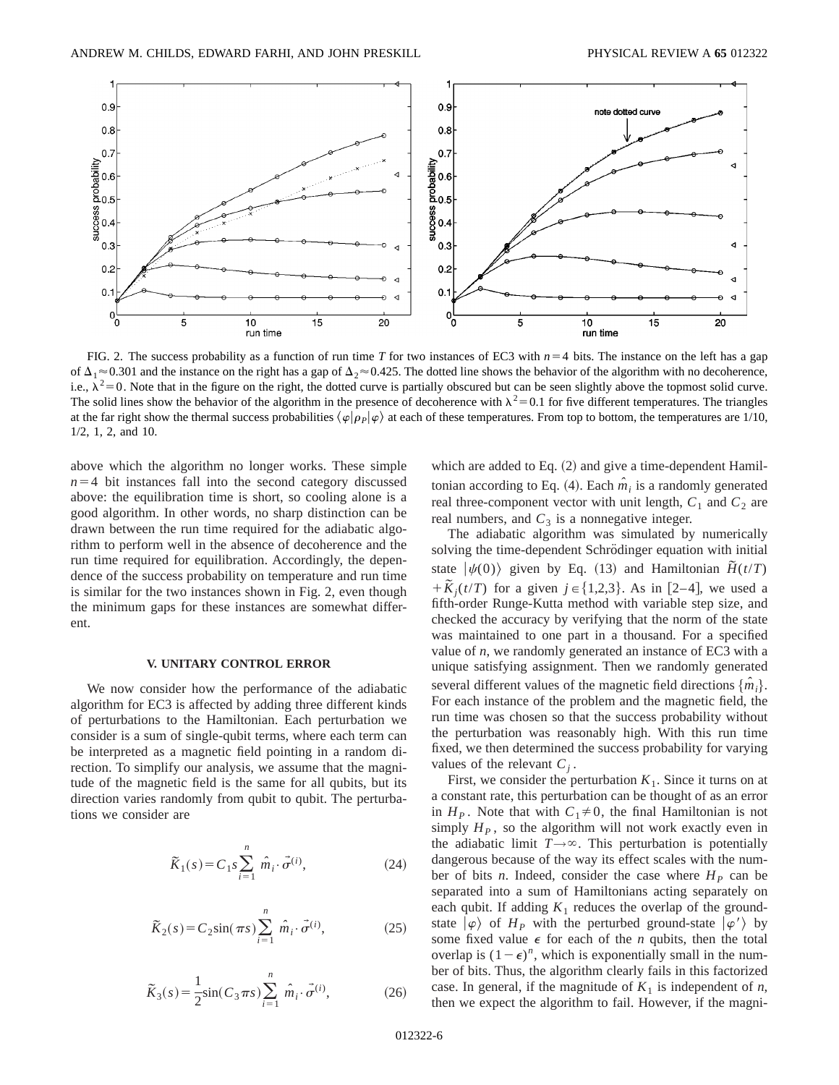

FIG. 2. The success probability as a function of run time *T* for two instances of EC3 with  $n=4$  bits. The instance on the left has a gap of  $\Delta_1 \approx 0.301$  and the instance on the right has a gap of  $\Delta_2 \approx 0.425$ . The dotted line shows the behavior of the algorithm with no decoherence, i.e.,  $\lambda^2 = 0$ . Note that in the figure on the right, the dotted curve is partially obscured but can be seen slightly above the topmost solid curve. The solid lines show the behavior of the algorithm in the presence of decoherence with  $\lambda^2 = 0.1$  for five different temperatures. The triangles at the far right show the thermal success probabilities  $\langle \varphi | \rho_P | \varphi \rangle$  at each of these temperatures. From top to bottom, the temperatures are 1/10, 1/2, 1, 2, and 10.

above which the algorithm no longer works. These simple  $n=4$  bit instances fall into the second category discussed above: the equilibration time is short, so cooling alone is a good algorithm. In other words, no sharp distinction can be drawn between the run time required for the adiabatic algorithm to perform well in the absence of decoherence and the run time required for equilibration. Accordingly, the dependence of the success probability on temperature and run time is similar for the two instances shown in Fig. 2, even though the minimum gaps for these instances are somewhat different.

#### **V. UNITARY CONTROL ERROR**

We now consider how the performance of the adiabatic algorithm for EC3 is affected by adding three different kinds of perturbations to the Hamiltonian. Each perturbation we consider is a sum of single-qubit terms, where each term can be interpreted as a magnetic field pointing in a random direction. To simplify our analysis, we assume that the magnitude of the magnetic field is the same for all qubits, but its direction varies randomly from qubit to qubit. The perturbations we consider are

$$
\tilde{K}_1(s) = C_1 s \sum_{i=1}^n \hat{m}_i \cdot \vec{\sigma}^{(i)},
$$
\n(24)

$$
\widetilde{K}_2(s) = C_2 \sin(\pi s) \sum_{i=1}^n \hat{m}_i \cdot \vec{\sigma}^{(i)},
$$
\n(25)

$$
\tilde{K}_3(s) = \frac{1}{2}\sin(C_3 \pi s) \sum_{i=1}^n \hat{m}_i \cdot \vec{\sigma}^{(i)},
$$
\n(26)

which are added to Eq.  $(2)$  and give a time-dependent Hamiltonian according to Eq. (4). Each  $\hat{m}_i$  is a randomly generated real three-component vector with unit length,  $C_1$  and  $C_2$  are real numbers, and  $C_3$  is a nonnegative integer.

The adiabatic algorithm was simulated by numerically solving the time-dependent Schrödinger equation with initial state  $|\psi(0)\rangle$  given by Eq. (13) and Hamiltonian  $\tilde{H}(t/T)$  $+ \widetilde{K}_i(t/T)$  for a given  $j \in \{1,2,3\}$ . As in [2–4], we used a fifth-order Runge-Kutta method with variable step size, and checked the accuracy by verifying that the norm of the state was maintained to one part in a thousand. For a specified value of *n*, we randomly generated an instance of EC3 with a unique satisfying assignment. Then we randomly generated several different values of the magnetic field directions  $\{\hat{m}_i\}$ . For each instance of the problem and the magnetic field, the run time was chosen so that the success probability without the perturbation was reasonably high. With this run time fixed, we then determined the success probability for varying values of the relevant  $C_i$ .

First, we consider the perturbation  $K_1$ . Since it turns on at a constant rate, this perturbation can be thought of as an error in  $H<sub>p</sub>$ . Note that with  $C<sub>1</sub> \neq 0$ , the final Hamiltonian is not simply  $H<sub>p</sub>$ , so the algorithm will not work exactly even in the adiabatic limit  $T \rightarrow \infty$ . This perturbation is potentially dangerous because of the way its effect scales with the number of bits *n*. Indeed, consider the case where  $H<sub>p</sub>$  can be separated into a sum of Hamiltonians acting separately on each qubit. If adding  $K_1$  reduces the overlap of the groundstate  $|\varphi\rangle$  of  $H_P$  with the perturbed ground-state  $|\varphi'\rangle$  by some fixed value  $\epsilon$  for each of the *n* qubits, then the total overlap is  $(1-\epsilon)^n$ , which is exponentially small in the number of bits. Thus, the algorithm clearly fails in this factorized case. In general, if the magnitude of  $K_1$  is independent of *n*, then we expect the algorithm to fail. However, if the magni-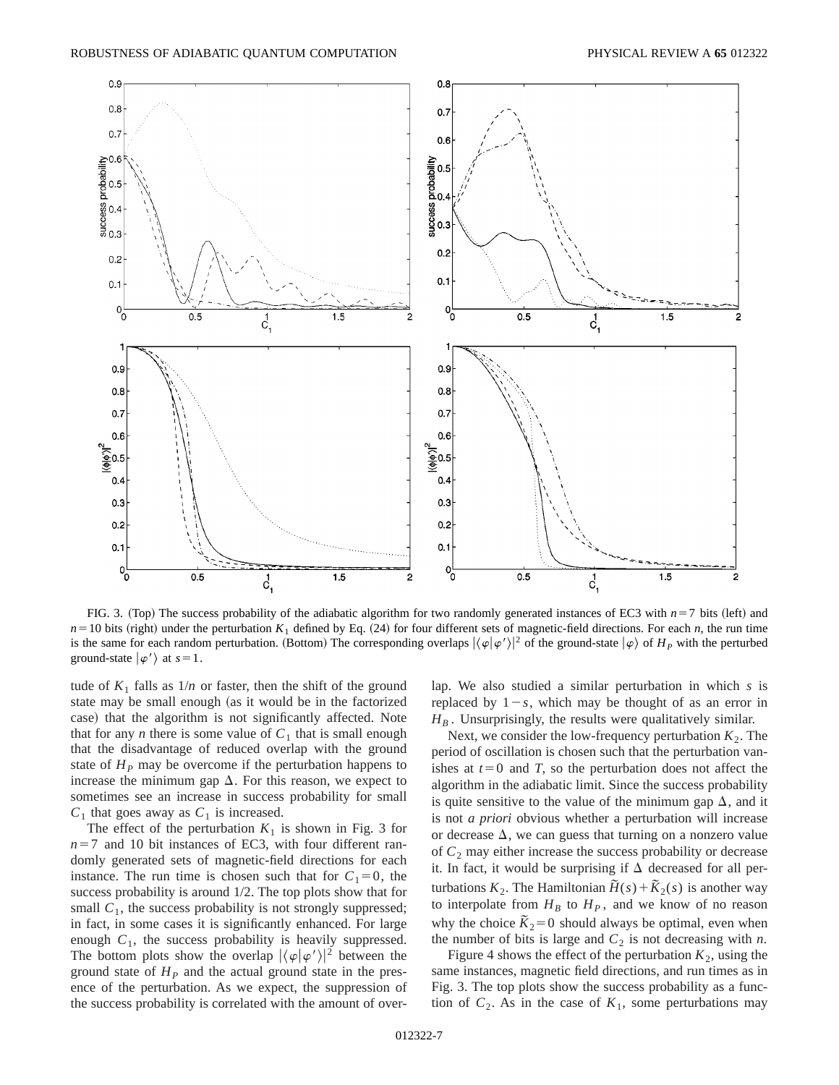

FIG. 3. (Top) The success probability of the adiabatic algorithm for two randomly generated instances of EC3 with  $n=7$  bits (left) and  $n=10$  bits (right) under the perturbation  $K_1$  defined by Eq. (24) for four different sets of magnetic-field directions. For each *n*, the run time is the same for each random perturbation. (Bottom) The corresponding overlaps  $|\langle \varphi | \varphi' \rangle|^2$  of the ground-state  $|\varphi\rangle$  of  $H_P$  with the perturbed ground-state  $|\varphi'\rangle$  at  $s=1$ .

tude of  $K_1$  falls as  $1/n$  or faster, then the shift of the ground state may be small enough (as it would be in the factorized case) that the algorithm is not significantly affected. Note that for any *n* there is some value of  $C_1$  that is small enough that the disadvantage of reduced overlap with the ground state of  $H<sub>P</sub>$  may be overcome if the perturbation happens to increase the minimum gap  $\Delta$ . For this reason, we expect to sometimes see an increase in success probability for small  $C_1$  that goes away as  $C_1$  is increased.

The effect of the perturbation  $K_1$  is shown in Fig. 3 for  $n=7$  and 10 bit instances of EC3, with four different randomly generated sets of magnetic-field directions for each instance. The run time is chosen such that for  $C_1=0$ , the success probability is around 1/2. The top plots show that for small  $C_1$ , the success probability is not strongly suppressed; in fact, in some cases it is significantly enhanced. For large enough  $C_1$ , the success probability is heavily suppressed. The bottom plots show the overlap  $|\langle \varphi | \varphi' \rangle|^2$  between the ground state of  $H<sub>p</sub>$  and the actual ground state in the presence of the perturbation. As we expect, the suppression of the success probability is correlated with the amount of overlap. We also studied a similar perturbation in which *s* is replaced by  $1-s$ , which may be thought of as an error in  $H_B$ . Unsurprisingly, the results were qualitatively similar.

Next, we consider the low-frequency perturbation  $K_2$ . The period of oscillation is chosen such that the perturbation vanishes at  $t=0$  and *T*, so the perturbation does not affect the algorithm in the adiabatic limit. Since the success probability is quite sensitive to the value of the minimum gap  $\Delta$ , and it is not *a priori* obvious whether a perturbation will increase or decrease  $\Delta$ , we can guess that turning on a nonzero value of  $C_2$  may either increase the success probability or decrease it. In fact, it would be surprising if  $\Delta$  decreased for all perturbations  $K_2$ . The Hamiltonian  $\tilde{H}(s) + \tilde{K}_2(s)$  is another way to interpolate from  $H_B$  to  $H_P$ , and we know of no reason why the choice  $\tilde{K}_2 = 0$  should always be optimal, even when the number of bits is large and  $C_2$  is not decreasing with *n*.

Figure 4 shows the effect of the perturbation  $K_2$ , using the same instances, magnetic field directions, and run times as in Fig. 3. The top plots show the success probability as a function of  $C_2$ . As in the case of  $K_1$ , some perturbations may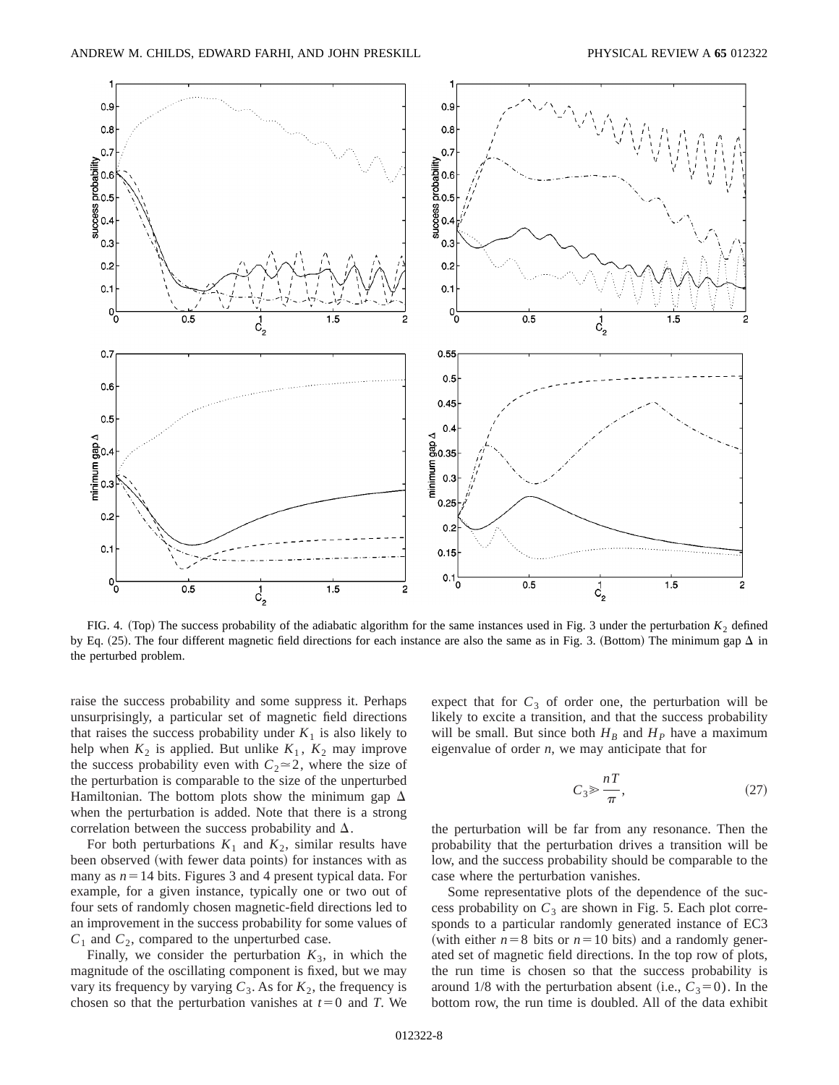

FIG. 4. (Top) The success probability of the adiabatic algorithm for the same instances used in Fig. 3 under the perturbation  $K_2$  defined by Eq. (25). The four different magnetic field directions for each instance are also the same as in Fig. 3. (Bottom) The minimum gap  $\Delta$  in the perturbed problem.

raise the success probability and some suppress it. Perhaps unsurprisingly, a particular set of magnetic field directions that raises the success probability under  $K_1$  is also likely to help when  $K_2$  is applied. But unlike  $K_1$ ,  $K_2$  may improve the success probability even with  $C_2 \approx 2$ , where the size of the perturbation is comparable to the size of the unperturbed Hamiltonian. The bottom plots show the minimum gap  $\Delta$ when the perturbation is added. Note that there is a strong correlation between the success probability and  $\Delta$ .

For both perturbations  $K_1$  and  $K_2$ , similar results have been observed (with fewer data points) for instances with as many as  $n=14$  bits. Figures 3 and 4 present typical data. For example, for a given instance, typically one or two out of four sets of randomly chosen magnetic-field directions led to an improvement in the success probability for some values of  $C_1$  and  $C_2$ , compared to the unperturbed case.

Finally, we consider the perturbation  $K_3$ , in which the magnitude of the oscillating component is fixed, but we may vary its frequency by varying  $C_3$ . As for  $K_2$ , the frequency is chosen so that the perturbation vanishes at  $t=0$  and *T*. We expect that for  $C_3$  of order one, the perturbation will be likely to excite a transition, and that the success probability will be small. But since both  $H_B$  and  $H_p$  have a maximum eigenvalue of order *n*, we may anticipate that for

$$
C_3 \gg \frac{nT}{\pi},\tag{27}
$$

the perturbation will be far from any resonance. Then the probability that the perturbation drives a transition will be low, and the success probability should be comparable to the case where the perturbation vanishes.

Some representative plots of the dependence of the success probability on  $C_3$  are shown in Fig. 5. Each plot corresponds to a particular randomly generated instance of EC3 (with either  $n=8$  bits or  $n=10$  bits) and a randomly generated set of magnetic field directions. In the top row of plots, the run time is chosen so that the success probability is around 1/8 with the perturbation absent (i.e.,  $C_3=0$ ). In the bottom row, the run time is doubled. All of the data exhibit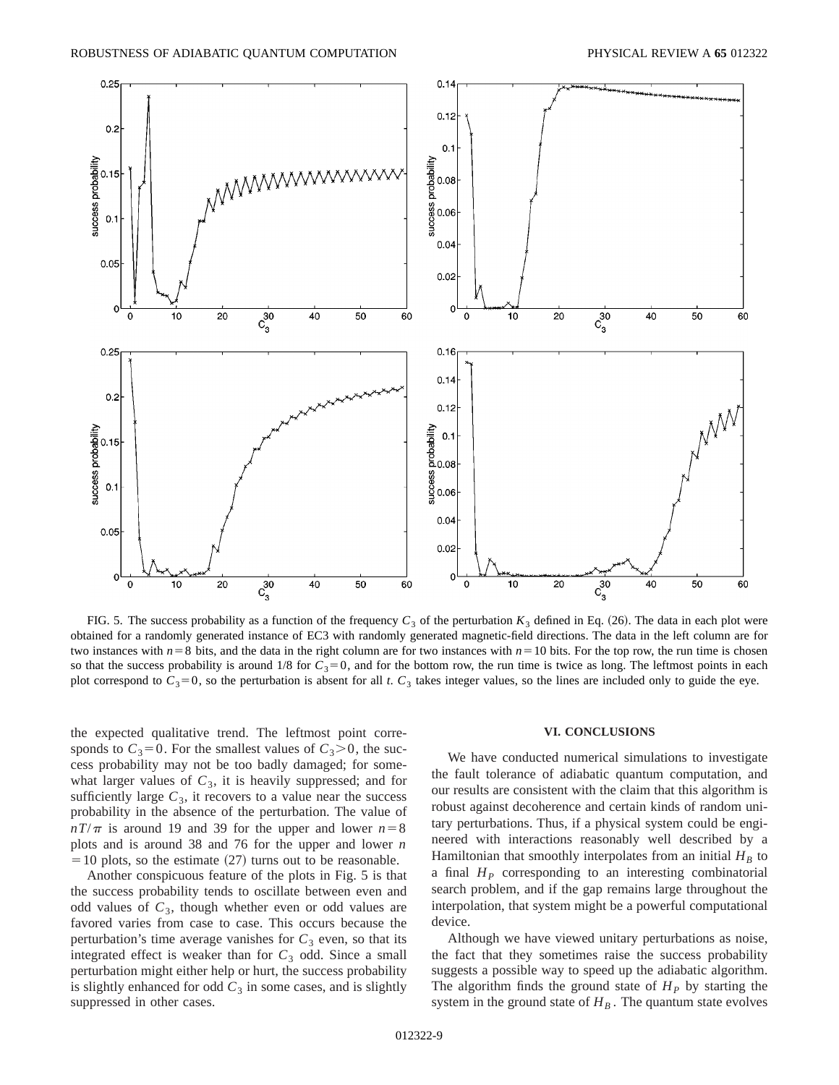

FIG. 5. The success probability as a function of the frequency  $C_3$  of the perturbation  $K_3$  defined in Eq. (26). The data in each plot were obtained for a randomly generated instance of EC3 with randomly generated magnetic-field directions. The data in the left column are for two instances with  $n=8$  bits, and the data in the right column are for two instances with  $n=10$  bits. For the top row, the run time is chosen so that the success probability is around  $1/8$  for  $C_3 = 0$ , and for the bottom row, the run time is twice as long. The leftmost points in each plot correspond to  $C_3 = 0$ , so the perturbation is absent for all *t*.  $C_3$  takes integer values, so the lines are included only to guide the eye.

the expected qualitative trend. The leftmost point corresponds to  $C_3=0$ . For the smallest values of  $C_3>0$ , the success probability may not be too badly damaged; for somewhat larger values of  $C_3$ , it is heavily suppressed; and for sufficiently large  $C_3$ , it recovers to a value near the success probability in the absence of the perturbation. The value of  $nT/\pi$  is around 19 and 39 for the upper and lower  $n=8$ plots and is around 38 and 76 for the upper and lower *n*  $=$  10 plots, so the estimate  $(27)$  turns out to be reasonable.

Another conspicuous feature of the plots in Fig. 5 is that the success probability tends to oscillate between even and odd values of  $C_3$ , though whether even or odd values are favored varies from case to case. This occurs because the perturbation's time average vanishes for  $C_3$  even, so that its integrated effect is weaker than for  $C_3$  odd. Since a small perturbation might either help or hurt, the success probability is slightly enhanced for odd  $C_3$  in some cases, and is slightly suppressed in other cases.

### **VI. CONCLUSIONS**

We have conducted numerical simulations to investigate the fault tolerance of adiabatic quantum computation, and our results are consistent with the claim that this algorithm is robust against decoherence and certain kinds of random unitary perturbations. Thus, if a physical system could be engineered with interactions reasonably well described by a Hamiltonian that smoothly interpolates from an initial  $H_B$  to a final  $H<sub>P</sub>$  corresponding to an interesting combinatorial search problem, and if the gap remains large throughout the interpolation, that system might be a powerful computational device.

Although we have viewed unitary perturbations as noise, the fact that they sometimes raise the success probability suggests a possible way to speed up the adiabatic algorithm. The algorithm finds the ground state of  $H<sub>P</sub>$  by starting the system in the ground state of  $H_B$ . The quantum state evolves